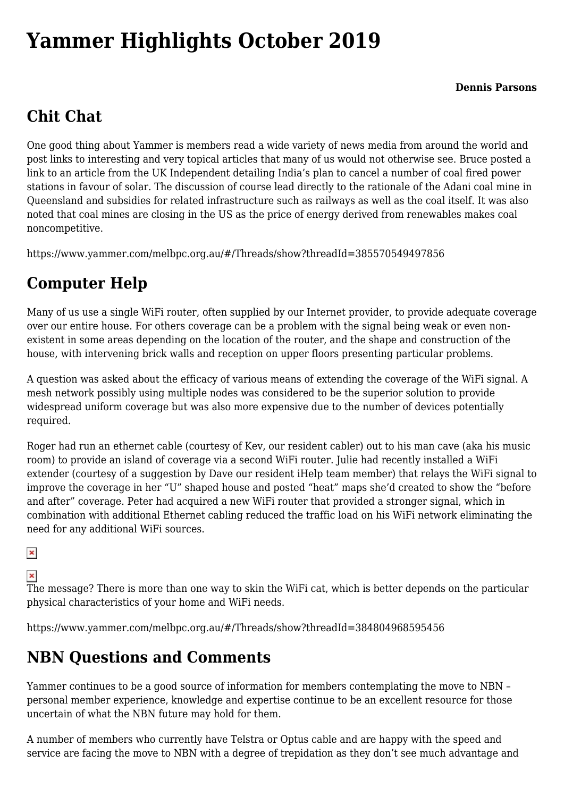# **[Yammer Highlights October 2019](https://www.melbpc.org.au/yammer-highlights-october-2019/)**

## **Chit Chat**

One good thing about Yammer is members read a wide variety of news media from around the world and post links to interesting and very topical articles that many of us would not otherwise see. Bruce posted a link to an article from the UK Independent detailing India's plan to cancel a number of coal fired power stations in favour of solar. The discussion of course lead directly to the rationale of the Adani coal mine in Queensland and subsidies for related infrastructure such as railways as well as the coal itself. It was also noted that coal mines are closing in the US as the price of energy derived from renewables makes coal noncompetitive.

<https://www.yammer.com/melbpc.org.au/#/Threads/show?threadId=385570549497856>

## **Computer Help**

Many of us use a single WiFi router, often supplied by our Internet provider, to provide adequate coverage over our entire house. For others coverage can be a problem with the signal being weak or even nonexistent in some areas depending on the location of the router, and the shape and construction of the house, with intervening brick walls and reception on upper floors presenting particular problems.

A question was asked about the efficacy of various means of extending the coverage of the WiFi signal. A mesh network possibly using multiple nodes was considered to be the superior solution to provide widespread uniform coverage but was also more expensive due to the number of devices potentially required.

Roger had run an ethernet cable (courtesy of Kev, our resident cabler) out to his man cave (aka his music room) to provide an island of coverage via a second WiFi router. Julie had recently installed a WiFi extender (courtesy of a suggestion by Dave our resident iHelp team member) that relays the WiFi signal to improve the coverage in her "U" shaped house and posted "heat" maps she'd created to show the "before and after" coverage. Peter had acquired a new WiFi router that provided a stronger signal, which in combination with additional Ethernet cabling reduced the traffic load on his WiFi network eliminating the need for any additional WiFi sources.

#### $\pmb{\times}$

### $\pmb{\times}$

The message? There is more than one way to skin the WiFi cat, which is better depends on the particular physical characteristics of your home and WiFi needs.

<https://www.yammer.com/melbpc.org.au/#/Threads/show?threadId=384804968595456>

## **NBN Questions and Comments**

Yammer continues to be a good source of information for members contemplating the move to NBN – personal member experience, knowledge and expertise continue to be an excellent resource for those uncertain of what the NBN future may hold for them.

A number of members who currently have Telstra or Optus cable and are happy with the speed and service are facing the move to NBN with a degree of trepidation as they don't see much advantage and